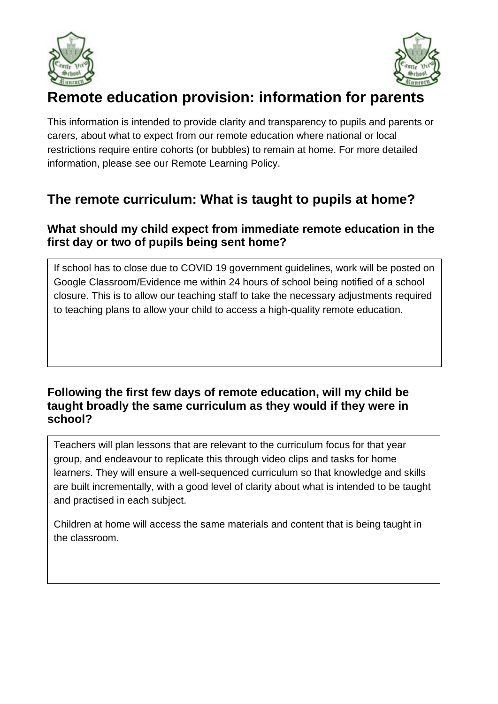



# **Remote education provision: information for parents**

This information is intended to provide clarity and transparency to pupils and parents or carers, about what to expect from our remote education where national or local restrictions require entire cohorts (or bubbles) to remain at home. For more detailed information, please see our Remote Learning Policy.

## **The remote curriculum: What is taught to pupils at home?**

### **What should my child expect from immediate remote education in the first day or two of pupils being sent home?**

If school has to close due to COVID 19 government guidelines, work will be posted on Google Classroom/Evidence me within 24 hours of school being notified of a school closure. This is to allow our teaching staff to take the necessary adjustments required to teaching plans to allow your child to access a high-quality remote education.

#### **Following the first few days of remote education, will my child be taught broadly the same curriculum as they would if they were in school?**

Teachers will plan lessons that are relevant to the curriculum focus for that year group, and endeavour to replicate this through video clips and tasks for home learners. They will ensure a well-sequenced curriculum so that knowledge and skills are built incrementally, with a good level of clarity about what is intended to be taught and practised in each subject.

Children at home will access the same materials and content that is being taught in the classroom.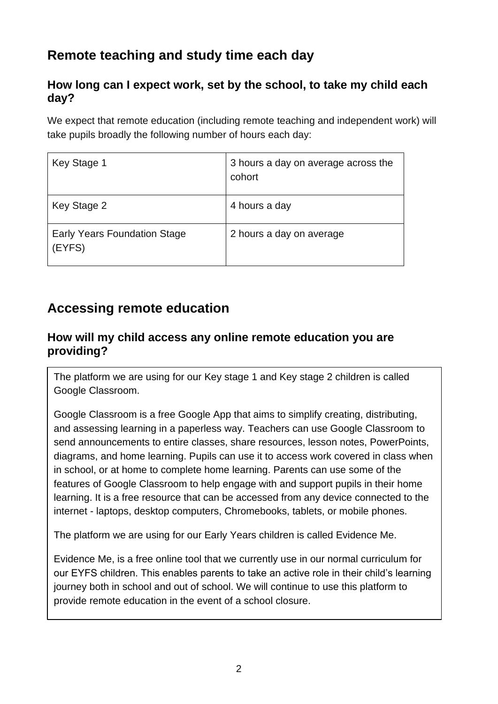## **Remote teaching and study time each day**

### **How long can I expect work, set by the school, to take my child each day?**

We expect that remote education (including remote teaching and independent work) will take pupils broadly the following number of hours each day:

| Key Stage 1                                   | 3 hours a day on average across the<br>cohort |
|-----------------------------------------------|-----------------------------------------------|
| Key Stage 2                                   | 4 hours a day                                 |
| <b>Early Years Foundation Stage</b><br>(EYFS) | 2 hours a day on average                      |

## **Accessing remote education**

### **How will my child access any online remote education you are providing?**

The platform we are using for our Key stage 1 and Key stage 2 children is called Google Classroom.

Google Classroom is a free Google App that aims to simplify creating, distributing, and assessing learning in a paperless way. Teachers can use Google Classroom to send announcements to entire classes, share resources, lesson notes, PowerPoints, diagrams, and home learning. Pupils can use it to access work covered in class when in school, or at home to complete home learning. Parents can use some of the features of Google Classroom to help engage with and support pupils in their home learning. It is a free resource that can be accessed from any device connected to the internet - laptops, desktop computers, Chromebooks, tablets, or mobile phones.

The platform we are using for our Early Years children is called Evidence Me.

Evidence Me, is a free online tool that we currently use in our normal curriculum for our EYFS children. This enables parents to take an active role in their child's learning journey both in school and out of school. We will continue to use this platform to provide remote education in the event of a school closure.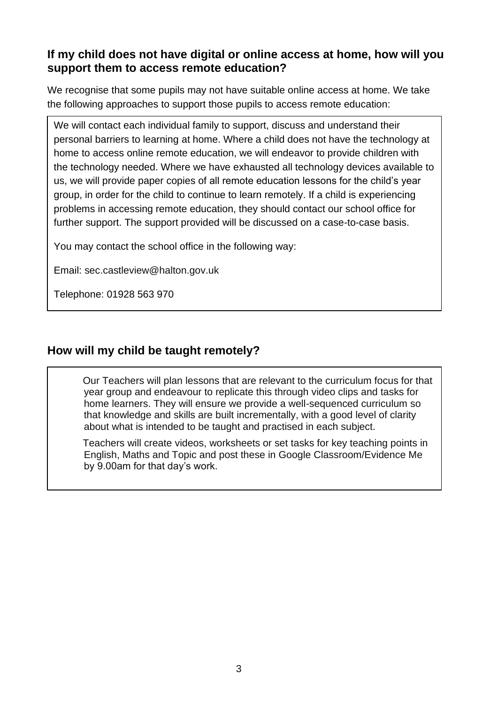### **If my child does not have digital or online access at home, how will you support them to access remote education?**

We recognise that some pupils may not have suitable online access at home. We take the following approaches to support those pupils to access remote education:

We will contact each individual family to support, discuss and understand their personal barriers to learning at home. Where a child does not have the technology at home to access online remote education, we will endeavor to provide children with the technology needed. Where we have exhausted all technology devices available to us, we will provide paper copies of all remote education lessons for the child's year group, in order for the child to continue to learn remotely. If a child is experiencing problems in accessing remote education, they should contact our school office for further support. The support provided will be discussed on a case-to-case basis.

You may contact the school office in the following way:

Email: [sec.castleview@halton.gov.uk](mailto:sec.castleview@halton.gov.uk)

Telephone: 01928 563 970

#### **How will my child be taught remotely?**

 Our Teachers will plan lessons that are relevant to the curriculum focus for that year group and endeavour to replicate this through video clips and tasks for home learners. They will ensure we provide a well-sequenced curriculum so that knowledge and skills are built incrementally, with a good level of clarity about what is intended to be taught and practised in each subject.

 Teachers will create videos, worksheets or set tasks for key teaching points in English, Maths and Topic and post these in Google Classroom/Evidence Me by 9.00am for that day's work.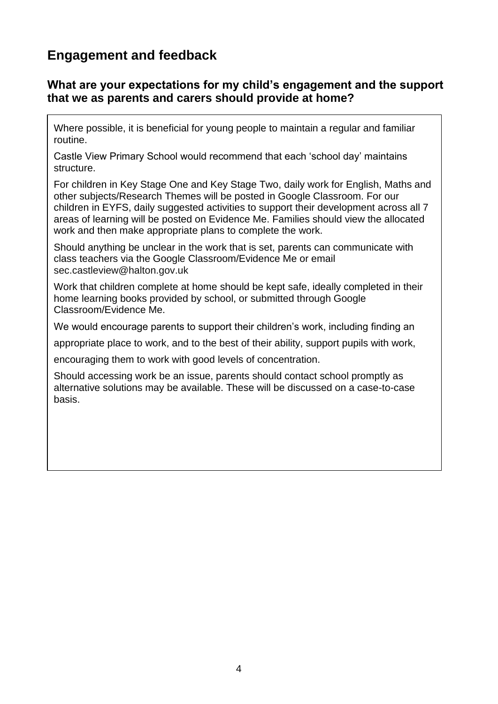### **Engagement and feedback**

#### **What are your expectations for my child's engagement and the support that we as parents and carers should provide at home?**

Where possible, it is beneficial for young people to maintain a regular and familiar routine.

Castle View Primary School would recommend that each 'school day' maintains structure.

For children in Key Stage One and Key Stage Two, daily work for English, Maths and other subjects/Research Themes will be posted in Google Classroom. For our children in EYFS, daily suggested activities to support their development across all 7 areas of learning will be posted on Evidence Me. Families should view the allocated work and then make appropriate plans to complete the work.

Should anything be unclear in the work that is set, parents can communicate with class teachers via the Google Classroom/Evidence Me or email [sec.castleview@halton.gov.uk](mailto:sec.castleview@halton.gov.uk)

Work that children complete at home should be kept safe, ideally completed in their home learning books provided by school, or submitted through Google Classroom/Evidence Me.

We would encourage parents to support their children's work, including finding an

appropriate place to work, and to the best of their ability, support pupils with work,

encouraging them to work with good levels of concentration.

Should accessing work be an issue, parents should contact school promptly as alternative solutions may be available. These will be discussed on a case-to-case basis.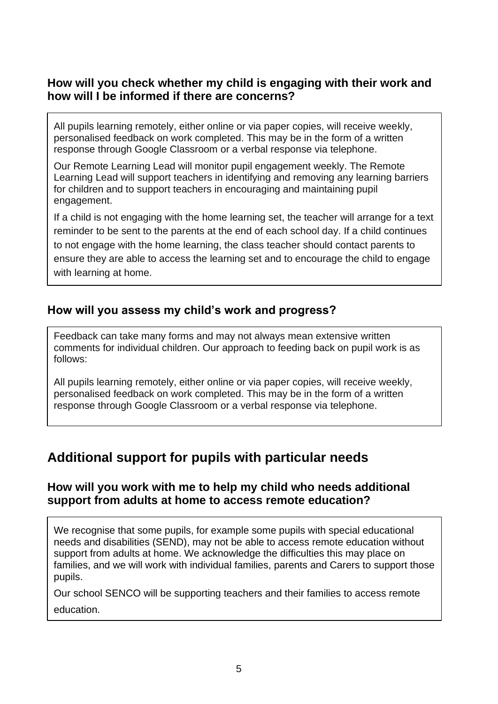### **How will you check whether my child is engaging with their work and how will I be informed if there are concerns?**

All pupils learning remotely, either online or via paper copies, will receive weekly, personalised feedback on work completed. This may be in the form of a written response through Google Classroom or a verbal response via telephone.

Our Remote Learning Lead will monitor pupil engagement weekly. The Remote Learning Lead will support teachers in identifying and removing any learning barriers for children and to support teachers in encouraging and maintaining pupil engagement.

If a child is not engaging with the home learning set, the teacher will arrange for a text reminder to be sent to the parents at the end of each school day. If a child continues to not engage with the home learning, the class teacher should contact parents to ensure they are able to access the learning set and to encourage the child to engage with learning at home.

### **How will you assess my child's work and progress?**

Feedback can take many forms and may not always mean extensive written comments for individual children. Our approach to feeding back on pupil work is as follows:

All pupils learning remotely, either online or via paper copies, will receive weekly, personalised feedback on work completed. This may be in the form of a written response through Google Classroom or a verbal response via telephone.

## **Additional support for pupils with particular needs**

#### **How will you work with me to help my child who needs additional support from adults at home to access remote education?**

We recognise that some pupils, for example some pupils with special educational needs and disabilities (SEND), may not be able to access remote education without support from adults at home. We acknowledge the difficulties this may place on families, and we will work with individual families, parents and Carers to support those pupils.

Our school SENCO will be supporting teachers and their families to access remote education.